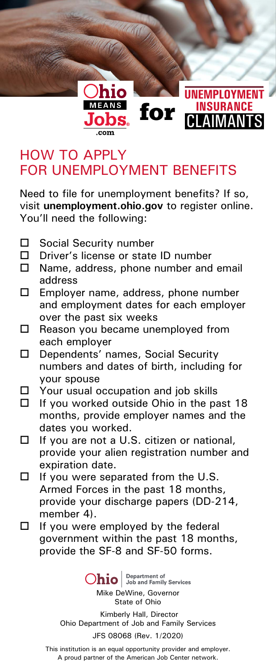

## HOW TO APPLY FOR UNEMPLOYMENT BENEFITS

Need to file for unemployment benefits? If so, visit **unemployment.ohio.gov** to register online. You'll need the following:

- $\square$  Social Security number<br> $\square$  Driver's license or state
- □ Driver's license or state ID number<br>□ Name, address, phone number and
- Name, address, phone number and email address
- Employer name, address, phone number and employment dates for each employer over the past six weeks
- $\Box$  Reason you became unemployed from each employer
- D Dependents' names, Social Security numbers and dates of birth, including for your spouse
- $\Box$  Your usual occupation and job skills<br> $\Box$  If you worked outside Obio in the pa
- If you worked outside Ohio in the past 18 months, provide employer names and the dates you worked.
- $\Box$  If you are not a U.S. citizen or national, provide your alien registration number and expiration date.
- $\Box$  If you were separated from the U.S. Armed Forces in the past 18 months, provide your discharge papers (DD-214, member 4).
- $\Box$  If you were employed by the federal government within the past 18 months, provide the SF-8 and SF-50 forms.

Ohio Job and Family Services

Mike DeWine, Governor State of Ohio

Kimberly Hall, Director Ohio Department of Job and Family Services

JFS 08068 (Rev. 1/2020)

This institution is an equal opportunity provider and employer. A proud partner of the American Job Center network.